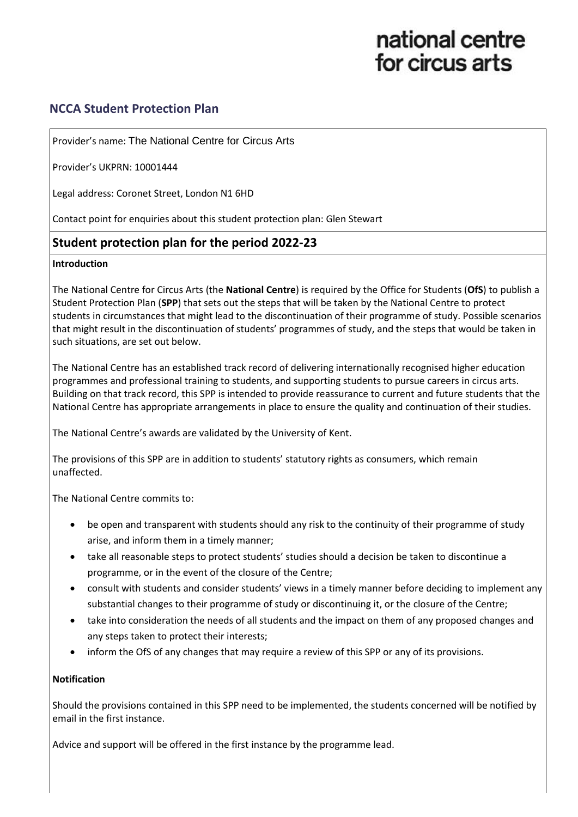# national centre for circus arts

# **NCCA Student Protection Plan**

Provider's name: The National Centre for Circus Arts

Provider's UKPRN: 10001444

Legal address: Coronet Street, London N1 6HD

Contact point for enquiries about this student protection plan: Glen Stewart

# **Student protection plan for the period 2022-23**

#### **Introduction**

The National Centre for Circus Arts (the **National Centre**) is required by the Office for Students (**OfS**) to publish a Student Protection Plan (**SPP**) that sets out the steps that will be taken by the National Centre to protect students in circumstances that might lead to the discontinuation of their programme of study. Possible scenarios that might result in the discontinuation of students' programmes of study, and the steps that would be taken in such situations, are set out below.

The National Centre has an established track record of delivering internationally recognised higher education programmes and professional training to students, and supporting students to pursue careers in circus arts. Building on that track record, this SPP is intended to provide reassurance to current and future students that the National Centre has appropriate arrangements in place to ensure the quality and continuation of their studies.

The National Centre's awards are validated by the University of Kent.

The provisions of this SPP are in addition to students' statutory rights as consumers, which remain unaffected.

The National Centre commits to:

- be open and transparent with students should any risk to the continuity of their programme of study arise, and inform them in a timely manner;
- take all reasonable steps to protect students' studies should a decision be taken to discontinue a programme, or in the event of the closure of the Centre;
- consult with students and consider students' views in a timely manner before deciding to implement any substantial changes to their programme of study or discontinuing it, or the closure of the Centre;
- take into consideration the needs of all students and the impact on them of any proposed changes and any steps taken to protect their interests;
- inform the OfS of any changes that may require a review of this SPP or any of its provisions.

# **Notification**

Should the provisions contained in this SPP need to be implemented, the students concerned will be notified by email in the first instance.

Advice and support will be offered in the first instance by the programme lead.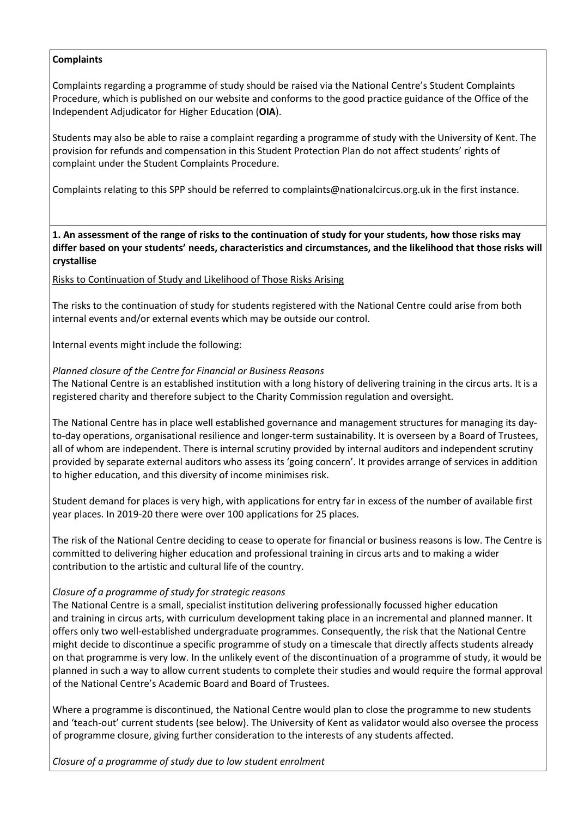#### **Complaints**

Complaints regarding a programme of study should be raised via the National Centre's Student Complaints Procedure, which is published on our website and conforms to the good practice guidance of the Office of the Independent Adjudicator for Higher Education (**OIA**).

Students may also be able to raise a complaint regarding a programme of study with the University of Kent. The provision for refunds and compensation in this Student Protection Plan do not affect students' rights of complaint under the Student Complaints Procedure.

Complaints relating to this SPP should be referred to [complaints@nationalcircus.org.uk](mailto:complaints@nationalcircus.org.uk) in the first instance.

**1. An assessment of the range of risks to the continuation of study for your students, how those risks may differ based on your students' needs, characteristics and circumstances, and the likelihood that those risks will crystallise**

Risks to Continuation of Study and Likelihood of Those Risks Arising

The risks to the continuation of study for students registered with the National Centre could arise from both internal events and/or external events which may be outside our control.

Internal events might include the following:

#### *Planned closure of the Centre for Financial or Business Reasons*

The National Centre is an established institution with a long history of delivering training in the circus arts. It is a registered charity and therefore subject to the Charity Commission regulation and oversight.

The National Centre has in place well established governance and management structures for managing its dayto-day operations, organisational resilience and longer-term sustainability. It is overseen by a Board of Trustees, all of whom are independent. There is internal scrutiny provided by internal auditors and independent scrutiny provided by separate external auditors who assess its 'going concern'. It provides arrange of services in addition to higher education, and this diversity of income minimises risk.

Student demand for places is very high, with applications for entry far in excess of the number of available first year places. In 2019-20 there were over 100 applications for 25 places.

The risk of the National Centre deciding to cease to operate for financial or business reasons is low. The Centre is committed to delivering higher education and professional training in circus arts and to making a wider contribution to the artistic and cultural life of the country.

# *Closure of a programme of study for strategic reasons*

The National Centre is a small, specialist institution delivering professionally focussed higher education and training in circus arts, with curriculum development taking place in an incremental and planned manner. It offers only two well-established undergraduate programmes. Consequently, the risk that the National Centre might decide to discontinue a specific programme of study on a timescale that directly affects students already on that programme is very low. In the unlikely event of the discontinuation of a programme of study, it would be planned in such a way to allow current students to complete their studies and would require the formal approval of the National Centre's Academic Board and Board of Trustees.

Where a programme is discontinued, the National Centre would plan to close the programme to new students and 'teach-out' current students (see below). The University of Kent as validator would also oversee the process of programme closure, giving further consideration to the interests of any students affected.

*Closure of a programme of study due to low student enrolment*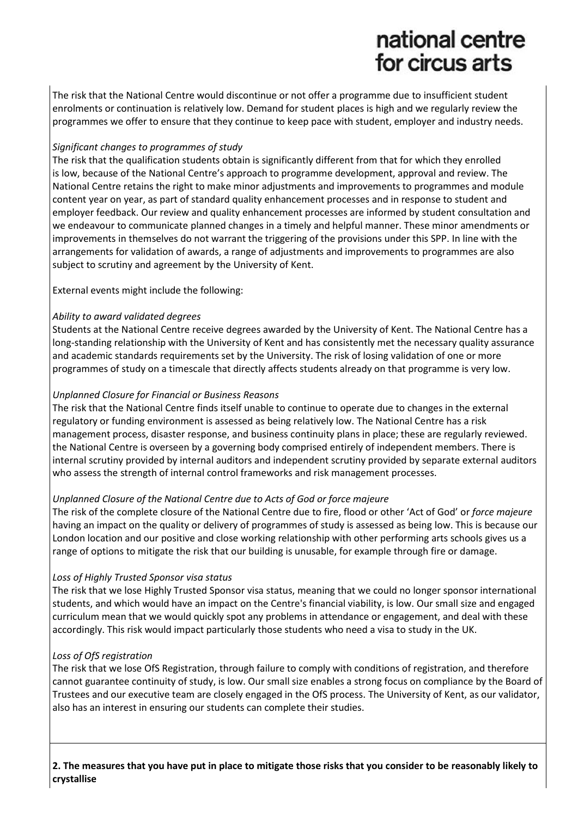# national centre for circus arts

The risk that the National Centre would discontinue or not offer a programme due to insufficient student enrolments or continuation is relatively low. Demand for student places is high and we regularly review the programmes we offer to ensure that they continue to keep pace with student, employer and industry needs.

# *Significant changes to programmes of study*

The risk that the qualification students obtain is significantly different from that for which they enrolled is low, because of the National Centre's approach to programme development, approval and review. The National Centre retains the right to make minor adjustments and improvements to programmes and module content year on year, as part of standard quality enhancement processes and in response to student and employer feedback. Our review and quality enhancement processes are informed by student consultation and we endeavour to communicate planned changes in a timely and helpful manner. These minor amendments or improvements in themselves do not warrant the triggering of the provisions under this SPP. In line with the arrangements for validation of awards, a range of adjustments and improvements to programmes are also subject to scrutiny and agreement by the University of Kent.

External events might include the following:

# *Ability to award validated degrees*

Students at the National Centre receive degrees awarded by the University of Kent. The National Centre has a long-standing relationship with the University of Kent and has consistently met the necessary quality assurance and academic standards requirements set by the University. The risk of losing validation of one or more programmes of study on a timescale that directly affects students already on that programme is very low.

# *Unplanned Closure for Financial or Business Reasons*

The risk that the National Centre finds itself unable to continue to operate due to changes in the external regulatory or funding environment is assessed as being relatively low. The National Centre has a risk management process, disaster response, and business continuity plans in place; these are regularly reviewed. the National Centre is overseen by a governing body comprised entirely of independent members. There is internal scrutiny provided by internal auditors and independent scrutiny provided by separate external auditors who assess the strength of internal control frameworks and risk management processes.

# *Unplanned Closure of the National Centre due to Acts of God or force majeure*

The risk of the complete closure of the National Centre due to fire, flood or other 'Act of God' or *force majeure* having an impact on the quality or delivery of programmes of study is assessed as being low. This is because our London location and our positive and close working relationship with other performing arts schools gives us a range of options to mitigate the risk that our building is unusable, for example through fire or damage.

# *Loss of Highly Trusted Sponsor visa status*

The risk that we lose Highly Trusted Sponsor visa status, meaning that we could no longer sponsor international students, and which would have an impact on the Centre's financial viability, is low. Our small size and engaged curriculum mean that we would quickly spot any problems in attendance or engagement, and deal with these accordingly. This risk would impact particularly those students who need a visa to study in the UK.

# *Loss of OfS registration*

The risk that we lose OfS Registration, through failure to comply with conditions of registration, and therefore cannot guarantee continuity of study, is low. Our small size enables a strong focus on compliance by the Board of Trustees and our executive team are closely engaged in the OfS process. The University of Kent, as our validator, also has an interest in ensuring our students can complete their studies.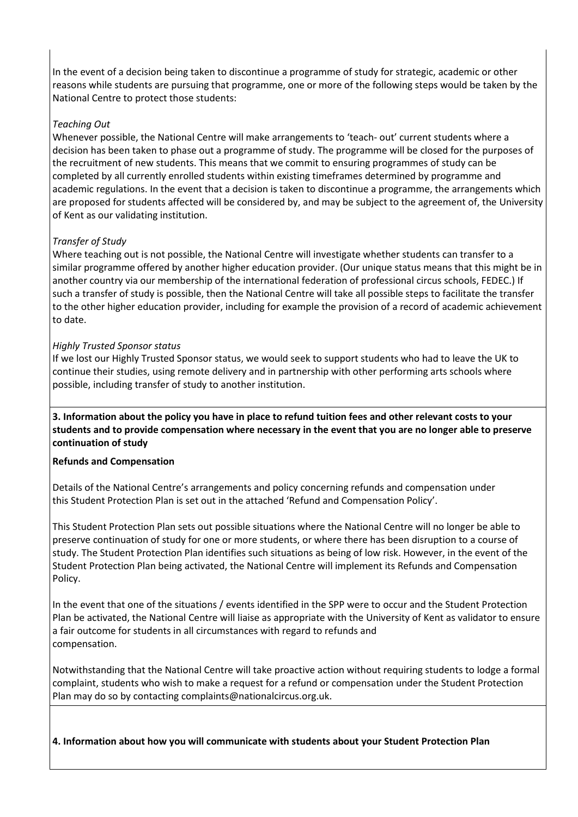In the event of a decision being taken to discontinue a programme of study for strategic, academic or other reasons while students are pursuing that programme, one or more of the following steps would be taken by the National Centre to protect those students:

#### *Teaching Out*

Whenever possible, the National Centre will make arrangements to 'teach- out' current students where a decision has been taken to phase out a programme of study. The programme will be closed for the purposes of the recruitment of new students. This means that we commit to ensuring programmes of study can be completed by all currently enrolled students within existing timeframes determined by programme and academic regulations. In the event that a decision is taken to discontinue a programme, the arrangements which are proposed for students affected will be considered by, and may be subject to the agreement of, the University of Kent as our validating institution.

#### *Transfer of Study*

Where teaching out is not possible, the National Centre will investigate whether students can transfer to a similar programme offered by another higher education provider. (Our unique status means that this might be in another country via our membership of the international federation of professional circus schools, FEDEC.) If such a transfer of study is possible, then the National Centre will take all possible steps to facilitate the transfer to the other higher education provider, including for example the provision of a record of academic achievement to date.

#### *Highly Trusted Sponsor status*

If we lost our Highly Trusted Sponsor status, we would seek to support students who had to leave the UK to continue their studies, using remote delivery and in partnership with other performing arts schools where possible, including transfer of study to another institution.

**3. Information about the policy you have in place to refund tuition fees and other relevant costs to your students and to provide compensation where necessary in the event that you are no longer able to preserve continuation of study**

#### **Refunds and Compensation**

Details of the National Centre's arrangements and policy concerning refunds and compensation under this Student Protection Plan is set out in the attached 'Refund and Compensation Policy'.

This Student Protection Plan sets out possible situations where the National Centre will no longer be able to preserve continuation of study for one or more students, or where there has been disruption to a course of study. The Student Protection Plan identifies such situations as being of low risk. However, in the event of the Student Protection Plan being activated, the National Centre will implement its Refunds and Compensation Policy.

In the event that one of the situations / events identified in the SPP were to occur and the Student Protection Plan be activated, the National Centre will liaise as appropriate with the University of Kent as validator to ensure a fair outcome for students in all circumstances with regard to refunds and compensation.

Notwithstanding that the National Centre will take proactive action without requiring students to lodge a formal complaint, students who wish to make a request for a refund or compensation under the Student Protection Plan may do so by contacting complaints@nationalcircus.org.uk.

**4. Information about how you will communicate with students about your Student Protection Plan**